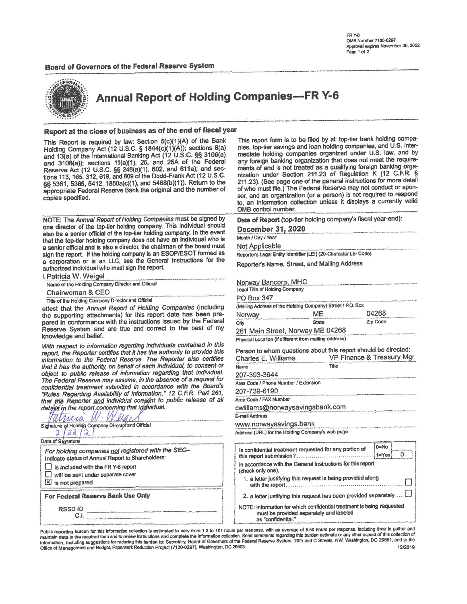### Board of Governors of the Federal Reserve System



**Annual Report of Holding Companies-FR Y-6** 

## Report at the close of business as of the end of fiscal year

This Report is required by law: Section 5(c)(1)(A) of the Bank Holding Company Act (12 U.S.C. § 1844(c)(1)(A)); sections 8(a) and 13(a) of the International Banking Act (12 U.S.C. §§ 3106(a) and 3108(a)); sections 11(a)(1), 25, and 25A of the Federal Reserve Act (12 U.S.C. §§ 248(a)(1), 602, and 611a); and sections 113, 165, 312, 618, and 809 of the Dodd-Frank Act (12 U.S.C. §§ 5361, 5365, 5412, 1850a(c)(1), and 5468(b)(1)). Return to the appropriate Federal Reserve Bank the original and the number of copies specified.

NOTE: The Annual Report of Holding Companies must be signed by one director of the top-tier holding company. This individual should also be a senior official of the top-tier holding company. In the event that the top-tier holding company does not have an individual who is a senior official and is also a director, the chairman of the board must sign the report. If the holding company is an ESOP/ESOT formed as a corporation or is an LLC, see the General Instructions for the authorized individual who must sign the report.

| <b>I. Patricia W. Weigel</b>                       |  |
|----------------------------------------------------|--|
| Name of the Holding Company Director and Official  |  |
| Chairwoman & CEO                                   |  |
| Title of the Holding Company Director and Official |  |

attest that the Annual Report of Holding Companies (including the supporting attachments) for this report date has been prepared in conformance with the instructions issued by the Federal Reserve System and are true and correct to the best of my knowledge and belief.

With respect to information regarding individuals contained in this report, the Reporter certifies that it has the authority to provide this information to the Federal Reserve. The Reporter also certifies that it has the authority, on behalf of each individual, to consent or object to public release of information regarding that individual. The Federal Reserve may assume, in the absence of a request for confidential treatment submitted in accordance with the Board's "Rules Regarding Availability of Information," 12 C.F.R. Part 261, that the Reporter and individual consent to public release of all details in the report concerning that individual.

| Signature of Holding Company Director and Official<br>Date of Signature<br>For holding companies not registered with the SEC-<br>Indicate status of Annual Report to Shareholders:<br>$\Box$ is included with the FR Y-6 report<br>will be sent under separate cover<br>凶 is not prepared<br>For Federal Reserve Bank Use Only |
|--------------------------------------------------------------------------------------------------------------------------------------------------------------------------------------------------------------------------------------------------------------------------------------------------------------------------------|
|                                                                                                                                                                                                                                                                                                                                |
|                                                                                                                                                                                                                                                                                                                                |
|                                                                                                                                                                                                                                                                                                                                |
|                                                                                                                                                                                                                                                                                                                                |
|                                                                                                                                                                                                                                                                                                                                |
|                                                                                                                                                                                                                                                                                                                                |
|                                                                                                                                                                                                                                                                                                                                |
|                                                                                                                                                                                                                                                                                                                                |
|                                                                                                                                                                                                                                                                                                                                |
| <b>RSSDID</b>                                                                                                                                                                                                                                                                                                                  |
|                                                                                                                                                                                                                                                                                                                                |

This report form is to be filed by all top-tier bank holding companies, top-tier savings and loan holding companies, and U.S. intermediate holding companies organized under U.S. law, and by any foreign banking organization that does not meet the requirements of and is not treated as a qualifying foreign banking organization under Section 211.23 of Regulation K (12 C.F.R. § 211.23). (See page one of the general instructions for more detail of who must file.) The Federal Reserve may not conduct or sponsor, and an organization (or a person) is not required to respond to, an information collection unless it displays a currently valid OMB control number.

Date of Report (top-tier holding company's fiscal year-end):

December 31, 2020

Month / Day / Year

Not Applicable

Reporter's Legal Entity Identifier (LEI) (20-Character LEI Code)

Reporter's Name, Street, and Mailing Address

| Norway Bancorp, MHC            |                                                            |          |
|--------------------------------|------------------------------------------------------------|----------|
| Legal Title of Holding Company |                                                            |          |
| <b>PO Box 347</b>              |                                                            |          |
|                                | (Mailing Address of the Holding Company) Street / P.O. Box |          |
| Norwav                         | ME                                                         | 04268    |
| City                           | <b>State</b>                                               | Zip Code |
|                                |                                                            |          |

261 Main Street, Norway ME 04268 Physical Location (if different from mailing address)

| Person to whom questions about this report should be directed:                                                        |                                                                                                               |
|-----------------------------------------------------------------------------------------------------------------------|---------------------------------------------------------------------------------------------------------------|
| Charles E. Williams                                                                                                   | VP Finance & Treasury Mgr<br>In William provides was little that the interface of the company and the company |
| relatively allowed to the content of the first state of the content of the present term of the content of the<br>Name | Title                                                                                                         |
|                                                                                                                       |                                                                                                               |

207-393-3644 Area Code / Phone Number / Extension

207-739-6190

Area Code / FAX Number

cwilliams@norwaysavingsbank.com

### E-mail Address

www.norwaysavings.bank Address (URL) for the Holding Company's web page

|                                                                                                                                        | $0 = No$  |
|----------------------------------------------------------------------------------------------------------------------------------------|-----------|
| Is confidential treatment requested for any portion of                                                                                 | $1 = Yes$ |
| In accordance with the General Instructions for this report<br>(check only one),                                                       |           |
| 1. a letter justifying this request is being provided along                                                                            |           |
| 2. a letter justifying this request has been provided separately                                                                       |           |
| NOTE: Information for which confidential treatment is being requested<br>must be provided separately and labeled<br>as "confidential." |           |

Public reporting burden for this information collection is estimated to vary from 1.3 to 101 hours per response, with an average of 5.50 hours per response, including time to gather and maintain data in the required form and to review Instructions and complete the information collection. Send comments regarding this burden estimate or any other aspect of this collection of information, including suggestio Office of Management and Budget, Paperwork Reduction Project (7100-0297), Washington, DC 20503. 12/2019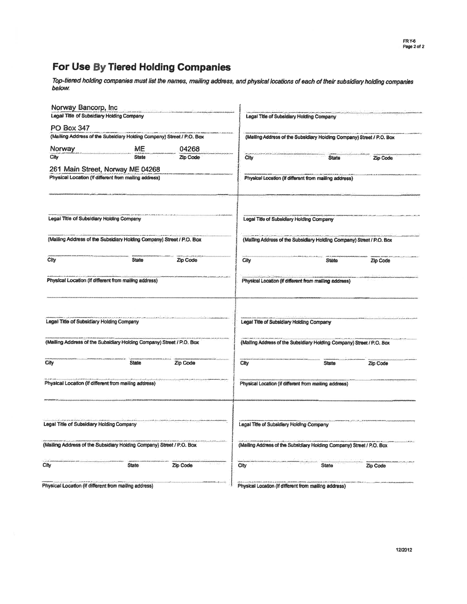# For Use By Tiered Holding Companies

Top-tiered holding companies must list the names, mailing address, and physical locations of each of their subsidiary holding companies<br>below.

| Norway Bancorp, Inc.                      | Legal Title of Subsidiary Holding Company                             |                 |      | Legal Title of Subsidiary Holding Company                             |          |
|-------------------------------------------|-----------------------------------------------------------------------|-----------------|------|-----------------------------------------------------------------------|----------|
|                                           |                                                                       |                 |      |                                                                       |          |
| <b>PO Box 347</b>                         | (Mailing Address of the Subsidiary Holding Company) Street / P.O. Box |                 |      |                                                                       |          |
|                                           |                                                                       |                 |      | (Mailing Address of the Subsidiary Holding Company) Street / P.O. Box |          |
| Norway                                    | ME                                                                    | 04268           |      |                                                                       |          |
| City                                      | <b>State</b>                                                          | <b>Zip Code</b> | City | <b>State</b>                                                          | Zip Code |
|                                           | 261 Main Street, Norway ME 04268                                      |                 |      |                                                                       |          |
|                                           | Physical Location (if different from mailing address)                 |                 |      | Physical Location (if different from mailing address)                 |          |
|                                           |                                                                       |                 |      |                                                                       |          |
| Legal Title of Subsidiary Holding Company |                                                                       |                 |      | Legal Title of Subsidiary Holding Company                             |          |
|                                           | (Mailing Address of the Subsidiary Holding Company) Street / P.O. Box |                 |      | (Mailing Address of the Subsidiary Holding Company) Street / P.O. Box |          |
| City                                      | <b>State</b>                                                          | Zip Code        | City | <b>State</b>                                                          | Zip Code |
|                                           | Physical Location (if different from mailing address)                 |                 |      | Physical Location (if different from mailing address)                 |          |
| Legal Title of Subsidiary Holding Company |                                                                       |                 |      | Legal Title of Subsidiary Holding Company                             |          |
|                                           | (Mailing Address of the Subsidiary Holding Company) Street / P.O. Box |                 |      | (Mailing Address of the Subsidiary Holding Company) Street / P.O. Box |          |
| City                                      | <b>State</b>                                                          | Zip Code        | City | <b>State</b>                                                          | Zip Code |
|                                           | Physical Location (if different from mailing address)                 |                 |      | Physical Location (if different from mailing address)                 |          |
|                                           |                                                                       |                 |      |                                                                       |          |
| Legal Title of Subsidiary Holding Company |                                                                       |                 |      | Legal Title of Subsidiary Holding Company                             |          |
|                                           | (Mailing Address of the Subsidiary Holding Company) Street / P.O. Box |                 |      | (Mailing Address of the Subsidiary Holding Company) Street / P.O. Box |          |
| City                                      | <b>State</b>                                                          | Zip Code        | City | <b>State</b>                                                          | Zip Code |
|                                           | Physical Location (if different from mailing address)                 |                 |      | Physical Location (if different from mailing address)                 |          |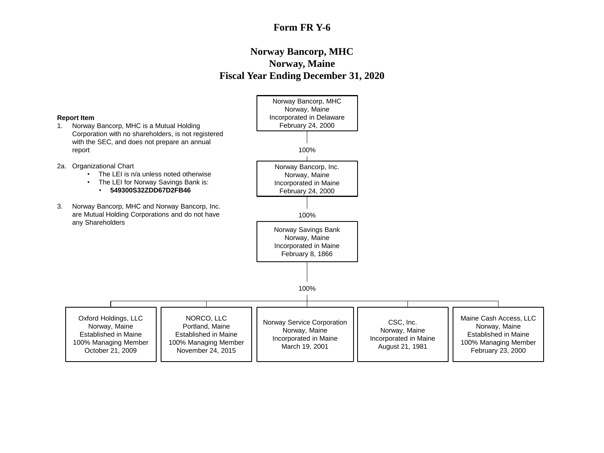## **Form FR Y-6**

## **Norway Bancorp, MHC Norway, Maine Fiscal Year Ending December 31, 2020**

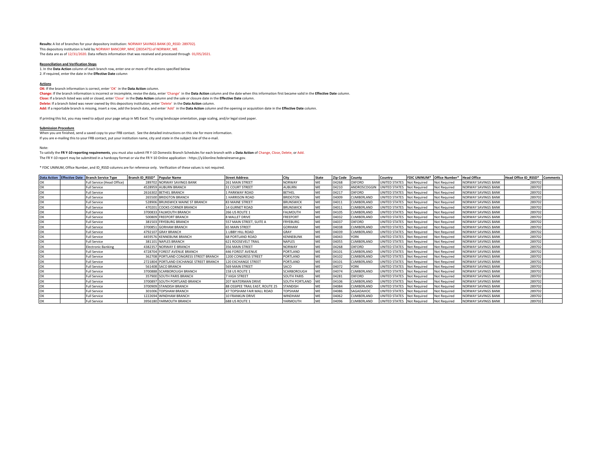**Results:** A list of branches for your depository institution: NORWAY SAVINGS BANK (ID\_RSSD: 289702). This depository institution is held by NORWAY BANCORP, MHC (2835475) of NORWAY, ME. The data are as of 12/31/2020. Data reflects information that was received and processed through 01/05/2021.

#### **Reconciliation and Verification Steps**

1. In the **Data Action** column of each branch row, enter one or more of the actions specified below 2. If required, enter the date in the **Effective Date** column

#### **Actions**

**OK:** If the branch information is correct, enter 'OK' in the **Data Action** column.

**Change:** If the branch information is incorrect or incomplete, revise the data, enter 'Change' in the **Data Action** column and the date when this information first became valid in the **Effective Date** column. **Close:** If a branch listed was sold or closed, enter 'Close' in the **Data Action** column and the sale or closure date in the **Effective Date** column. **Delete:** If a branch listed was never owned by this depository institution, enter 'Delete' in the **Data Action** column. **Add:** If a reportable branch is missing, insert a row, add the branch data, and enter 'Add' in the **Data Action** column and the opening or acquisition date in the **Effective Date** column.

If printing this list, you may need to adjust your page setup in MS Excel. Try using landscape orientation, page scaling, and/or legal sized paper.

#### **Submission Procedure**

When you are finished, send a saved copy to your FRB contact. See the detailed instructions on this site for more information.

If you are e-mailing this to your FRB contact, put your institution name, city and state in the subject line of the e-mail.

#### Note:

To satisfy the **FR Y-10 reporting requirements**, you must also submit FR Y-10 Domestic Branch Schedules for each branch with a **Data Action** of Change, Close, Delete, or Add. The FR Y-10 report may be submitted in a hardcopy format or via the FR Y-10 Online application - https://y10online.federalreserve.gov.

\* FDIC UNINUM, Office Number, and ID\_RSSD columns are for reference only. Verification of these values is not required.

|    | Data Action Effective Date Branch Service Type | Branch ID RSSD* Popular Name |                                         | <b>Street Address</b>            | City               | <b>State</b> | <b>Zip Code</b> | County            | Country                    |                     | FDIC UNINUM* Office Number* Head Office |                            | Head Office ID RSSD* Comments |  |
|----|------------------------------------------------|------------------------------|-----------------------------------------|----------------------------------|--------------------|--------------|-----------------|-------------------|----------------------------|---------------------|-----------------------------------------|----------------------------|-------------------------------|--|
|    | Full Service (Head Office)                     |                              | 289702 NORWAY SAVINGS BANK              | 261 MAIN STREET                  | <b>NORWAY</b>      | MF           | 04268           | <b>OXFORD</b>     | UNITED STATES Not Required |                     | <b>Not Required</b>                     | <b>NORWAY SAVINGS BANK</b> | 289702                        |  |
|    | <b>Full Service</b>                            |                              | 4528959 AUBURN BRANCH                   | <b>31 COURT STREET</b>           | AUBURN             | MF           | 04210           | ANDROSCOGGIN      | UNITED STATES Not Required |                     | Not Required                            | NORWAY SAVINGS BANK        | 289702                        |  |
| ЭK | <b>Full Service</b>                            |                              | 2616302 BETHEL BRANCH                   | <b>LPARKWAY ROAD</b>             | <b>BETHEL</b>      |              | 04217           | OXFORD            | UNITED STATES              | <b>Not Required</b> | <b>Not Required</b>                     | <b>NORWAY SAVINGS BANK</b> | 289702                        |  |
| ЭK | <b>Full Service</b>                            |                              | 265500 BRIDGTON BRANCH                  | <b>HARRISON ROAD</b>             | <b>BRIDGTON</b>    | MF           | 04009           | CUMBERLAND        | UNITED STATES              | Not Required        | <b>Not Required</b>                     | NORWAY SAVINGS BANK        | 289702                        |  |
|    | <b>Full Service</b>                            |                              | 528906 BRUNSWICK MAINE ST BRANCH        | <b>83 MAINE STREET</b>           | <b>BRUNSWICK</b>   | ME           | 04011           | CUMBERLAND        | UNITED STATES Not Required |                     | <b>Not Required</b>                     | NORWAY SAVINGS BANK        | 289702                        |  |
| ЭK | <b>Full Service</b>                            |                              | 470201 COOKS CORNER BRANCH              | <b>14 GURNET ROAD</b>            | <b>BRUNSWICK</b>   |              | 04011           | CUMBERLAND        | UNITED STATES Not Required |                     | Not Required                            | <b>NORWAY SAVINGS BANK</b> | 289702                        |  |
| эĸ | <b>Full Service</b>                            |                              | 3700833 FALMOUTH BRANCH                 | 266 US ROUTE 1                   | FALMOUTH           |              | 04105           | CUMBERLAND        | UNITED STATES Not Required |                     | <b>Not Required</b>                     | <b>NORWAY SAVINGS BANK</b> | 289702                        |  |
| ЭK | <b>Full Service</b>                            |                              | 500809 FREEPORT BRANCH                  | 8 MALLET DRIVE                   | FREEPORT           |              | 04032           | CUMBERLAND        | UNITED STATES Not Required |                     | <b>Not Required</b>                     | <b>NORWAY SAVINGS BANK</b> | 289702                        |  |
| ЭK | <b>Full Service</b>                            |                              | 381503 FRYEBURG BRANCH                  | 557 MAIN STREET, SUITE A         | <b>FRYEBURG</b>    |              | 04037           | OXFORD            | UNITED STATES Not Required |                     | Not Required                            | <b>NORWAY SAVINGS BANK</b> | 289702                        |  |
| ЭK | <b>Full Service</b>                            |                              | 3700851 GORHAM BRANCH                   | <b>65 MAIN STREET</b>            | GORHAM             |              | 04038           | CUMBERLAND        | UNITED STATES              | <b>Not Required</b> | <b>Not Required</b>                     | <b>NORWAY SAVINGS BANK</b> | 289702                        |  |
| ጋK | <b>Full Service</b>                            |                              | 4792107 GRAY BRANCH                     | L LIBBY HILL ROAD                | GRAY               | MF           | 04039           | CUMBERLAND        | UNITED STATES Not Required |                     | <b>Not Required</b>                     | <b>NORWAY SAVINGS BANK</b> | 289702                        |  |
|    | <b>Full Service</b>                            |                              | 4459576 KENNEBUNK BRANCH                | <b>68 PORTLAND ROAD</b>          | KENNEBUNK          | MF           | 04043           | <b>YORK</b>       | UNITED STATES Not Required |                     | <b>Not Required</b>                     | NORWAY SAVINGS BANK        | 289702                        |  |
| ЭK | <b>Full Service</b>                            |                              | 381101 NAPLES BRANCH                    | <b>621 ROOSEVELT TRAIL</b>       | NAPLES             | MF           | 04055           | CUMBERLAND        | UNITED STATES Not Required |                     | <b>Not Required</b>                     | <b>NORWAY SAVINGS BANK</b> | 289702                        |  |
| ЭK | <b>Electronic Banking</b>                      |                              | 4382357 NORWAY F-BRANCH                 | 356 MAIN STREET                  | NORWAY             | MF           | 04268           | OXFORD            | UNITED STATES Not Required |                     | <b>Not Required</b>                     | <b>NORWAY SAVINGS BANK</b> | 289702                        |  |
| ЭK | <b>Full Service</b>                            |                              | 4728704 FOREST AVENUE BRANCH            | <b>446 FOREST AVENUE</b>         | PORTLAND           | MF           | 04101           | CUMBERLAND        | UNITED STATES Not Required |                     | <b>Not Required</b>                     | NORWAY SAVINGS BANK        | 289702                        |  |
|    | <b>Full Service</b>                            |                              | 362708 PORTLAND CONGRESS STREET BRANCH  | 1200 CONGRESS STREET             | PORTLAND           | ME           | 04102           | CUMBERLAND        | UNITED STATES Not Required |                     | Not Required                            | <b>NORWAY SAVINGS BANK</b> | 289702                        |  |
| ЭK | <b>Full Service</b>                            |                              | 2721804 PORTLAND EXCHANGE STREET BRANCH | 120 EXCHANGE STREET              | PORTLAND           | MF           | 04101           | <b>CUMBERLAND</b> | UNITED STATES              | Not Required        | <b>Not Required</b>                     | <b>NORWAY SAVINGS BANK</b> | 289702                        |  |
| ЭK | <b>Full Service</b>                            |                              | 561408 SACO BRANCH                      | 569 MAIN STREET                  | SACO               | MF           | 04072           | <b>YORK</b>       | UNITED STATES Not Required |                     | <b>Not Required</b>                     | <b>NORWAY SAVINGS BANK</b> | 289702                        |  |
|    | <b>Full Service</b>                            |                              | 3700888 SCARBOROUGH BRANCH              | 158 US ROUTE 1                   | SCARBOROUGH        |              | 04074           | CUMBERLAND        | UNITED STATES Not Required |                     | <b>Not Required</b>                     | <b>NORWAY SAVINGS BANK</b> | 289702                        |  |
| ЭK | <b>Full Service</b>                            |                              | 357900 SOUTH PARIS BRANCH               | 7 HIGH STREET                    | <b>SOUTH PARIS</b> |              | 04281           | OXFORD            | UNITED STATES Not Required |                     | <b>Not Required</b>                     | <b>NORWAY SAVINGS BANK</b> | 289702                        |  |
| ЭK | <b>Full Service</b>                            |                              | 3700897 SOUTH PORTLAND BRANCH           | 207 WATERMAN DRIVE               | SOUTH PORTLAND ME  |              | 04106           | CUMBERLAND        | UNITED STATES Not Required |                     | <b>Not Required</b>                     | <b>NORWAY SAVINGS BANK</b> | 289702                        |  |
| ЭK | <b>Full Service</b>                            |                              | 3700909 STANDISH BRANCH                 | 88 OSSIPEE TRAIL EAST. ROUTE 25  | <b>STANDISH</b>    | MF           | 04084           | CUMBERLAND        | UNITED STATES Not Required |                     | <b>Not Required</b>                     | <b>NORWAY SAVINGS BANK</b> | 289702                        |  |
| ЭK | <b>Full Service</b>                            |                              | 301006 TOPSHAM BRANCH                   | <b>47 TOPSHAM FAIR MALL ROAD</b> | <b>TOPSHAM</b>     |              | 04086           | SAGADAHOC         | UNITED STATES Not Required |                     | <b>Not Required</b>                     | <b>NORWAY SAVINGS BANK</b> | 289702                        |  |
| ЭK | <b>Full Service</b>                            |                              | 1222694 WINDHAM BRANCH                  | <b>10 FRANKLIN DRIVE</b>         | WINDHAM            |              | 04062           | CUMBERLAND        | UNITED STATES              | <b>Not Required</b> | <b>Not Required</b>                     | <b>NORWAY SAVINGS BANK</b> | 289702                        |  |
| ЭK | <b>Full Service</b>                            |                              | 3956180 YARMOUTH BRANCH                 | 688 US ROUTE 1                   | YARMOUTH           | MF           | 04096           | CUMBERLAND        | UNITED STATES Not Required |                     | <b>Not Required</b>                     | <b>NORWAY SAVINGS BANK</b> | 289702                        |  |